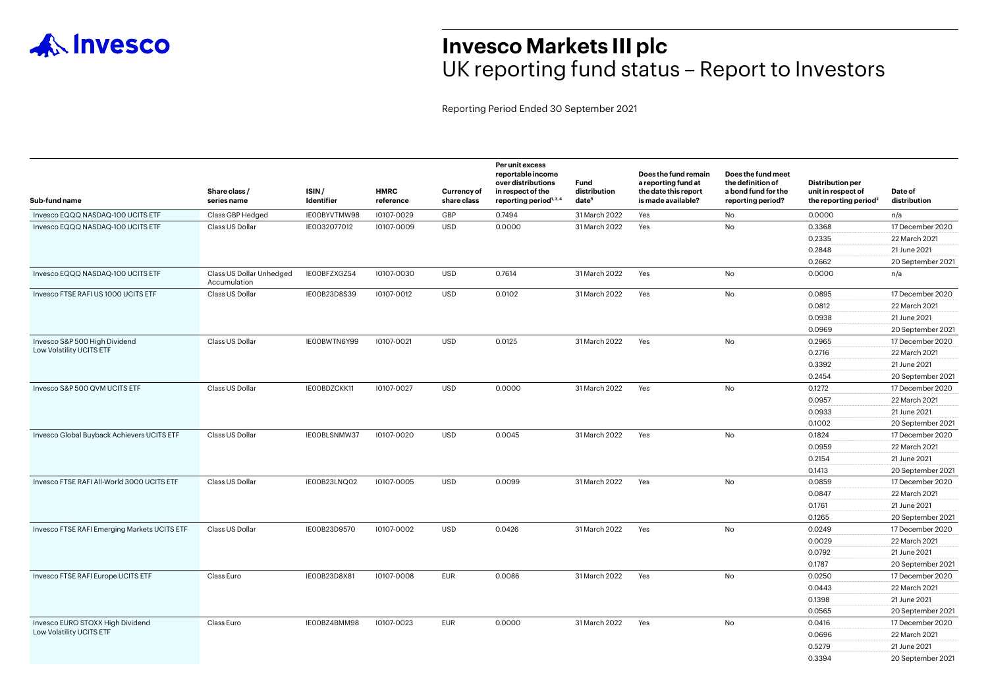

## **Invesco Markets III plc** UK reporting fund status – Report to Investors

Reporting Period Ended 30 September 2021

| Sub-fund name                                                | Share class /<br>series name             | ISIN/<br>Identifier | <b>HMRC</b><br>reference | Currency of<br>share class | Per unit excess<br>reportable income<br>over distributions<br>in respect of the<br>reporting period <sup>1, 3, 4</sup> | Fund<br>distribution<br>date <sup>5</sup> | Does the fund remain<br>a reporting fund at<br>the date this report<br>is made available? | Does the fund meet<br>the definition of<br>a bond fund for the<br>reporting period? | <b>Distribution per</b><br>unit in respect of<br>the reporting period <sup>2</sup> | Date of<br>distribution |
|--------------------------------------------------------------|------------------------------------------|---------------------|--------------------------|----------------------------|------------------------------------------------------------------------------------------------------------------------|-------------------------------------------|-------------------------------------------------------------------------------------------|-------------------------------------------------------------------------------------|------------------------------------------------------------------------------------|-------------------------|
| Invesco EQQQ NASDAQ-100 UCITS ETF                            | Class GBP Hedged                         | IEOOBYVTMW98        | 10107-0029               | GBP                        | 0.7494                                                                                                                 | 31 March 2022                             | Yes                                                                                       | No                                                                                  | 0.0000                                                                             | n/a                     |
| Invesco EQQQ NASDAQ-100 UCITS ETF                            | Class US Dollar                          | IE0032077012        | 10107-0009               | <b>USD</b>                 | 0.0000                                                                                                                 | 31 March 2022                             | Yes                                                                                       | No                                                                                  | 0.3368                                                                             | 17 December 2020        |
|                                                              |                                          |                     |                          |                            |                                                                                                                        |                                           |                                                                                           |                                                                                     | 0.2335                                                                             | 22 March 2021           |
|                                                              |                                          |                     |                          |                            |                                                                                                                        |                                           |                                                                                           |                                                                                     | 0.2848                                                                             | 21 June 2021            |
|                                                              |                                          |                     |                          |                            |                                                                                                                        |                                           |                                                                                           |                                                                                     | 0.2662                                                                             | 20 September 2021       |
| Invesco EQQQ NASDAQ-100 UCITS ETF                            | Class US Dollar Unhedged<br>Accumulation | IEOOBFZXGZ54        | 10107-0030               | <b>USD</b>                 | 0.7614                                                                                                                 | 31 March 2022                             | Yes                                                                                       | No                                                                                  | 0.0000                                                                             | n/a                     |
| Invesco FTSE RAFI US 1000 UCITS ETF                          | Class US Dollar                          | IEO0B23D8S39        | 10107-0012               | <b>USD</b>                 | 0.0102                                                                                                                 | 31 March 2022                             | Yes                                                                                       | No                                                                                  | 0.0895                                                                             | 17 December 2020        |
|                                                              |                                          |                     |                          |                            |                                                                                                                        |                                           |                                                                                           |                                                                                     | 0.0812                                                                             | 22 March 2021           |
|                                                              |                                          |                     |                          |                            |                                                                                                                        |                                           |                                                                                           |                                                                                     | 0.0938                                                                             | 21 June 2021            |
|                                                              |                                          |                     |                          |                            |                                                                                                                        |                                           |                                                                                           |                                                                                     | 0.0969                                                                             | 20 September 2021       |
| Invesco S&P 500 High Dividend<br>Low Volatility UCITS ETF    | Class US Dollar                          | IEOOBWTN6Y99        | 10107-0021               | <b>USD</b>                 | 0.0125                                                                                                                 | 31 March 2022                             | Yes                                                                                       | No                                                                                  | 0.2965                                                                             | 17 December 2020        |
|                                                              |                                          |                     |                          |                            |                                                                                                                        |                                           |                                                                                           |                                                                                     | 0.2716                                                                             | 22 March 2021           |
|                                                              |                                          |                     |                          |                            |                                                                                                                        |                                           |                                                                                           |                                                                                     | 0.3392                                                                             | 21 June 2021            |
|                                                              |                                          |                     |                          |                            |                                                                                                                        |                                           |                                                                                           |                                                                                     | 0.2454                                                                             | 20 September 2021       |
| Invesco S&P 500 QVM UCITS ETF                                | Class US Dollar                          | IEOOBDZCKK11        | 10107-0027               | <b>USD</b>                 | 0.0000                                                                                                                 | 31 March 2022                             | Yes                                                                                       | No                                                                                  | 0.1272                                                                             | 17 December 2020        |
|                                                              |                                          |                     |                          |                            |                                                                                                                        |                                           |                                                                                           |                                                                                     | 0.0957                                                                             | 22 March 2021           |
|                                                              |                                          |                     |                          |                            |                                                                                                                        |                                           |                                                                                           |                                                                                     | 0.0933                                                                             | 21 June 2021            |
|                                                              |                                          |                     |                          |                            |                                                                                                                        |                                           |                                                                                           |                                                                                     | 0.1002                                                                             | 20 September 2021       |
| Invesco Global Buyback Achievers UCITS ETF                   | Class US Dollar                          | IEOOBLSNMW37        | 10107-0020               | <b>USD</b>                 | 0.0045                                                                                                                 | 31 March 2022                             | Yes                                                                                       | No                                                                                  | 0.1824                                                                             | 17 December 2020        |
|                                                              |                                          |                     |                          |                            |                                                                                                                        |                                           |                                                                                           |                                                                                     | 0.0959                                                                             | 22 March 2021           |
|                                                              |                                          |                     |                          |                            |                                                                                                                        |                                           |                                                                                           |                                                                                     | 0.2154                                                                             | 21 June 2021            |
|                                                              |                                          |                     |                          |                            |                                                                                                                        |                                           |                                                                                           |                                                                                     | 0.1413                                                                             | 20 September 2021       |
| Invesco FTSE RAFI All-World 3000 UCITS ETF                   | Class US Dollar                          | IE00B23LNQ02        | 10107-0005               | <b>USD</b>                 | 0.0099                                                                                                                 | 31 March 2022                             | Yes                                                                                       | No                                                                                  | 0.0859                                                                             | 17 December 2020        |
|                                                              |                                          |                     |                          |                            |                                                                                                                        |                                           |                                                                                           |                                                                                     | 0.0847                                                                             | 22 March 2021           |
|                                                              |                                          |                     |                          |                            |                                                                                                                        |                                           |                                                                                           |                                                                                     | 0.1761                                                                             | 21 June 2021            |
|                                                              |                                          |                     |                          |                            |                                                                                                                        |                                           |                                                                                           |                                                                                     | 0.1265                                                                             | 20 September 2021       |
| Invesco FTSE RAFI Emerging Markets UCITS ETF                 | Class US Dollar                          | IE00B23D9570        | 10107-0002               | <b>USD</b>                 | 0.0426                                                                                                                 | 31 March 2022                             | Yes                                                                                       | No                                                                                  | 0.0249                                                                             | 17 December 2020        |
|                                                              |                                          |                     |                          |                            |                                                                                                                        |                                           |                                                                                           |                                                                                     | 0.0029                                                                             | 22 March 2021           |
|                                                              |                                          |                     |                          |                            |                                                                                                                        |                                           |                                                                                           |                                                                                     | 0.0792                                                                             | 21 June 2021            |
|                                                              |                                          |                     |                          |                            |                                                                                                                        |                                           |                                                                                           |                                                                                     | 0.1787                                                                             | 20 September 2021       |
| Invesco FTSE RAFI Europe UCITS ETF                           | Class Euro                               | IEOOB23D8X81        | 10107-0008               | <b>EUR</b>                 | 0.0086                                                                                                                 | 31 March 2022                             | Yes                                                                                       | <b>No</b>                                                                           | 0.0250                                                                             | 17 December 2020        |
|                                                              |                                          |                     |                          |                            |                                                                                                                        |                                           |                                                                                           |                                                                                     | 0.0443                                                                             | 22 March 2021           |
|                                                              |                                          |                     |                          |                            |                                                                                                                        |                                           |                                                                                           |                                                                                     | 0.1398                                                                             | 21 June 2021            |
|                                                              |                                          |                     |                          |                            |                                                                                                                        |                                           |                                                                                           |                                                                                     | 0.0565                                                                             | 20 September 2021       |
| Invesco EURO STOXX High Dividend<br>Low Volatility UCITS ETF | Class Euro                               | IEOOBZ4BMM98        | 10107-0023               | <b>EUR</b>                 | 0.0000                                                                                                                 | 31 March 2022                             | Yes                                                                                       | No                                                                                  | 0.0416                                                                             | 17 December 2020        |
|                                                              |                                          |                     |                          |                            |                                                                                                                        |                                           |                                                                                           |                                                                                     | 0.0696                                                                             | 22 March 2021           |
|                                                              |                                          |                     |                          |                            |                                                                                                                        |                                           |                                                                                           |                                                                                     | 0.5279                                                                             | 21 June 2021            |
|                                                              |                                          |                     |                          |                            |                                                                                                                        |                                           |                                                                                           |                                                                                     | 0.3394                                                                             | 20 September 2021       |